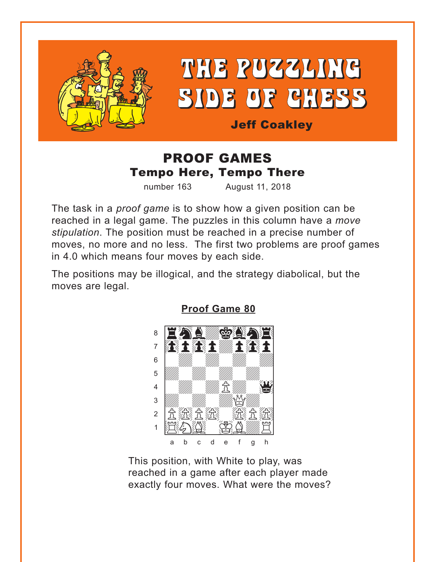<span id="page-0-0"></span>

# THE PUZZLING SIDE OF CHESS

**Jeff Coakley** 

### **PROOF GAMES Tempo Here, Tempo There**

number 163

August 11, 2018

The task in a *proof game* is to show how a given position can be reached in a legal game. The puzzles in this column have a move stipulation. The position must be reached in a precise number of moves, no more and no less. The first two problems are proof games in 4.0 which means four moves by each side.

The positions may be illogical, and the strategy diabolical, but the moves are legal.



**Proof Game 80** 

This position, with White to play, was reached in a game after each player made exactly four moves. What were the moves?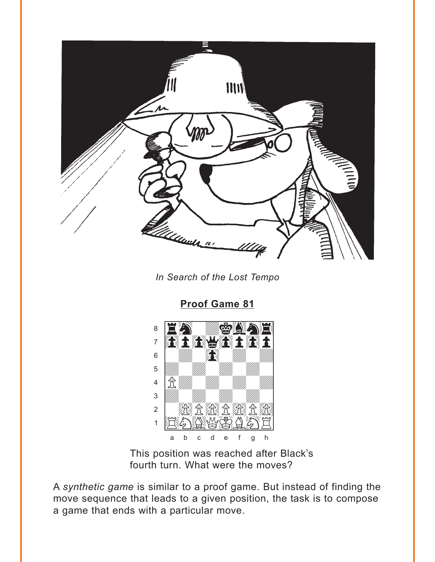<span id="page-1-0"></span>

In Search of the Lost Tempo

Proof Game 81



This position was reached after Black's fourth turn. What were the moves?

A synthetic game is similar to a proof game. But instead of finding the move sequence that leads to a given position, the task is to compose a game that ends with a particular move.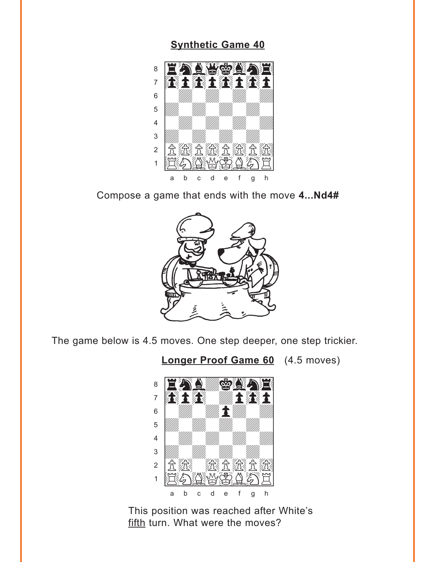#### **[Synthetic Game 40](#page-5-0)**

<span id="page-2-0"></span>

Compose a game that ends with the move **4...Nd4#**



The game below is 4.5 moves. One step deeper, one step trickier.

**[Longer Proof Game 60](#page-6-0)** (4.5 moves)



This position was reached after White's fifth turn. What were the moves?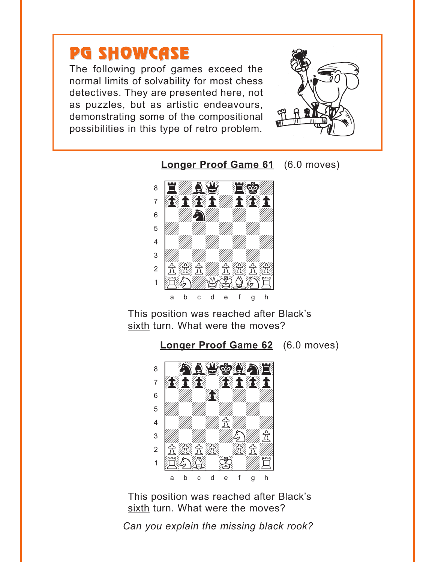# <span id="page-3-0"></span>**PG SHOWCASE**

The following proof games exceed the normal limits of solvability for most chess detectives. They are presented here, not as puzzles, but as artistic endeavours, demonstrating some of the compositional possibilities in this type of retro problem.



**Longer Proof Game 61** (6.0 moves)



This position was reached after Black's sixth turn. What were the moves?



This position was reached after Black's sixth turn. What were the moves?

Can you explain the missing black rook?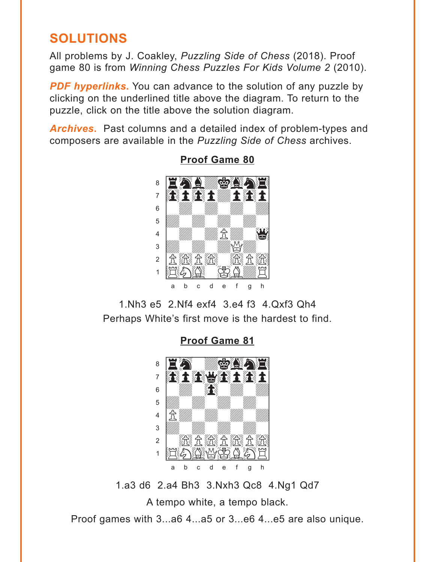## <span id="page-4-0"></span>**SOLUTIONS**

All problems by J. Coakley, Puzzling Side of Chess (2018). Proof game 80 is from Winning Chess Puzzles For Kids Volume 2 (2010).

**PDF hyperlinks.** You can advance to the solution of any puzzle by clicking on the underlined title above the diagram. To return to the puzzle, click on the title above the solution diagram.

Archives. Past columns and a detailed index of problem-types and composers are available in the Puzzling Side of Chess archives.



**Proof Game 80** 

1. Nh 3 e 5 2. Nf 4 exf 4 3. e 4 f 3 4. Oxf 3 Oh 4 Perhaps White's first move is the hardest to find.

**Proof Game 81** 



1.a3 d6 2.a4 Bh3 3.Nxh3 Qc8 4.Ng1 Qd7 A tempo white, a tempo black. Proof games with 3...a6 4...a5 or 3...e6 4...e5 are also unique.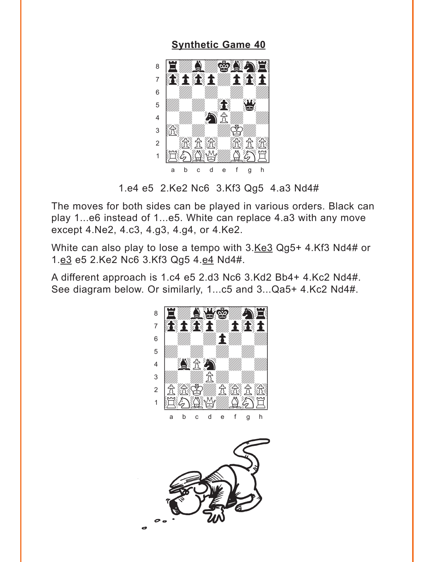<span id="page-5-0"></span>**Synthetic Game 40** 



<sup>1.</sup>e4 e5 2.Ke2 Nc6 3.Kf3 Qg5 4.a3 Nd4#

The moves for both sides can be played in various orders. Black can play 1...e6 instead of 1...e5. White can replace 4.a3 with any move except 4.Ne2, 4.c3, 4.g3, 4.g4, or 4.Ke2.

White can also play to lose a tempo with 3.Ke3 Qg5+ 4.Kf3 Nd4# or 1.e3 e5 2.Ke2 Nc6 3.Kf3 Qg5 4.e4 Nd4#.

A different approach is 1.c4 e5 2.d3 Nc6 3.Kd2 Bb4+ 4.Kc2 Nd4#. See diagram below. Or similarly, 1...c5 and 3...Qa5+ 4.Kc2 Nd4#.



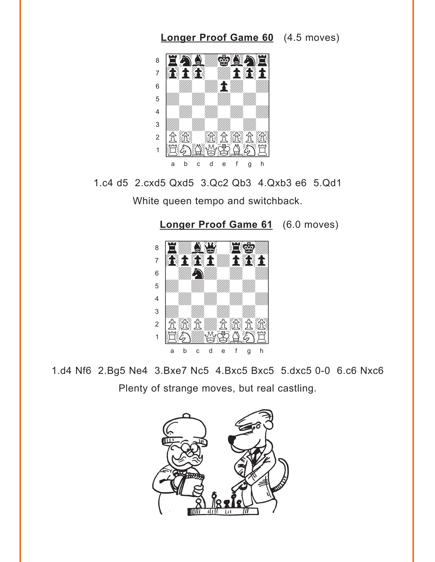<span id="page-6-0"></span>

1.c4 d5 2.cxd5 Qxd5 3.Qc2 Qb3 4.Qxb3 e6 5.Qd1

White queen tempo and switchback.



1.d4 Nf6 2.Bg5 Ne4 3.Bxe7 Nc5 4.Bxc5 Bxc5 5.dxc5 0-0 6.c6 Nxc6 Plenty of strange moves, but real castling.